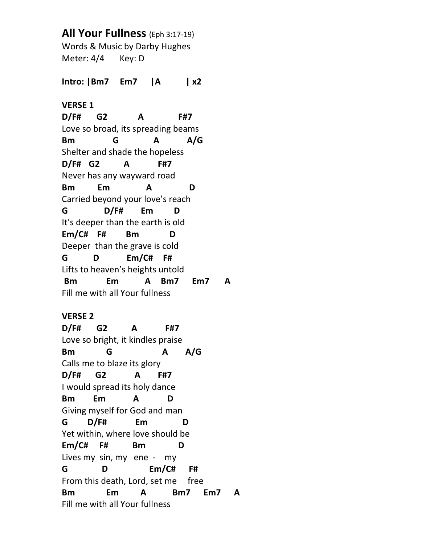**All Your Fullness** (Eph 3:17-19) Words & Music by Darby Hughes Meter: 4/4 Key: D **Intro: |Bm7 Em7 |A | x2 VERSE 1 D/F# G2 A F#7** Love so broad, its spreading beams **Bm G A A/G** Shelter and shade the hopeless **D/F# G2 A F#7** Never has any wayward road **Bm Em A D** Carried beyond your love's reach **G D/F# Em D** It's deeper than the earth is old **Em/C# F# Bm D** Deeper than the grave is cold **G D Em/C# F#** Lifts to heaven's heights untold **Bm Em A Bm7 Em7 A** Fill me with all Your fullness

## **VERSE 2**

**D/F# G2 A F#7** Love so bright, it kindles praise **Bm G A A/G** Calls me to blaze its glory **D/F# G2 A F#7** I would spread its holy dance **Bm Em A D** Giving myself for God and man **G D/F# Em D** Yet within, where love should be **Em/C# F# Bm D** Lives my sin, my ene - my **G D Em/C# F#** From this death, Lord, set me free **Bm Em A Bm7 Em7 A** Fill me with all Your fullness